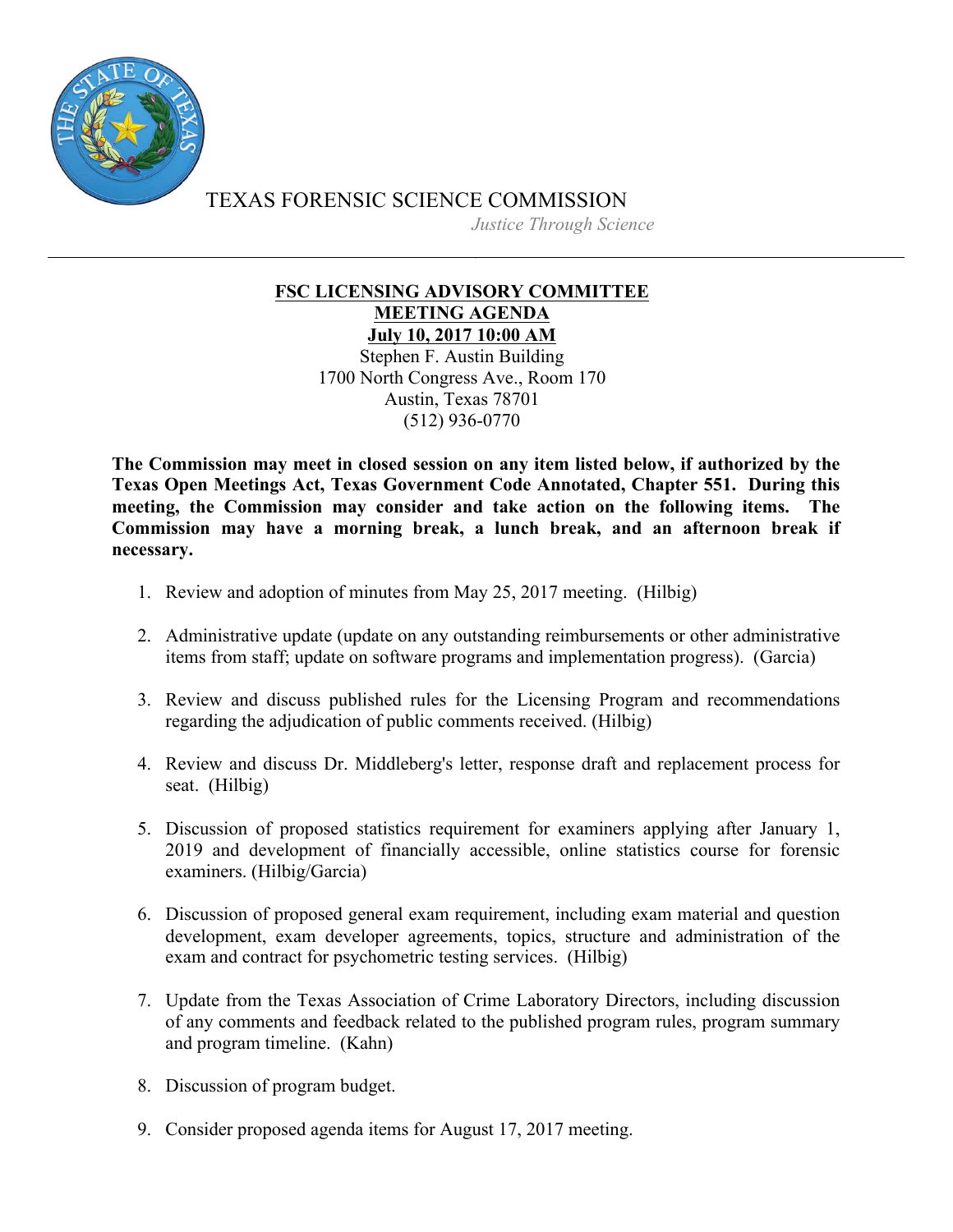

TEXAS FORENSIC SCIENCE COMMISSION *Justice Through Science*

## **FSC LICENSING ADVISORY COMMITTEE MEETING AGENDA July 10, 2017 10:00 AM**

Stephen F. Austin Building 1700 North Congress Ave., Room 170 Austin, Texas 78701 (512) 936-0770

**The Commission may meet in closed session on any item listed below, if authorized by the Texas Open Meetings Act, Texas Government Code Annotated, Chapter 551. During this meeting, the Commission may consider and take action on the following items. The Commission may have a morning break, a lunch break, and an afternoon break if necessary.**

- 1. Review and adoption of minutes from May 25, 2017 meeting. (Hilbig)
- 2. Administrative update (update on any outstanding reimbursements or other administrative items from staff; update on software programs and implementation progress). (Garcia)
- 3. Review and discuss published rules for the Licensing Program and recommendations regarding the adjudication of public comments received. (Hilbig)
- 4. Review and discuss Dr. Middleberg's letter, response draft and replacement process for seat. (Hilbig)
- 5. Discussion of proposed statistics requirement for examiners applying after January 1, 2019 and development of financially accessible, online statistics course for forensic examiners. (Hilbig/Garcia)
- 6. Discussion of proposed general exam requirement, including exam material and question development, exam developer agreements, topics, structure and administration of the exam and contract for psychometric testing services. (Hilbig)
- 7. Update from the Texas Association of Crime Laboratory Directors, including discussion of any comments and feedback related to the published program rules, program summary and program timeline. (Kahn)
- 8. Discussion of program budget.
- 9. Consider proposed agenda items for August 17, 2017 meeting.